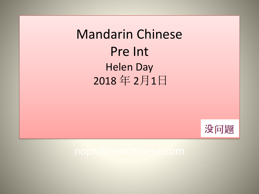Mandarin Chinese Pre Int Helen Day 2018 年 2月1日

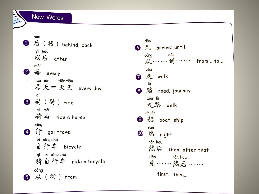New Words

hòu 1 后 (後) behind; back yǐ hòu 以后 after měi 2 每 every měi tiān tiān tiān 每天=天天 every day qí **3** 骑 (騎) ride qí mǎ 骑马 ride a horse xíng 4 行 go; travel zì xíng chē 自行车 bicycle qí zì xíng chē 骑自行车 ride a bicycle cóng 5 从(從) from

dào 6 到 arrive; until dào cóna 从……到…… from... to... zǒu ■走 walk lù 路 road; journey 8 zǒu lù 走路 walk chuán 9 船 boat; ship rán 10 然 right rán hòu 然后 then; after that xiān rán hòu 先……然后…… first... then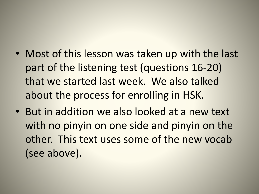- Most of this lesson was taken up with the last part of the listening test (questions 16-20) that we started last week. We also talked about the process for enrolling in HSK.
- But in addition we also looked at a new text with no pinyin on one side and pinyin on the other. This text uses some of the new vocab (see above).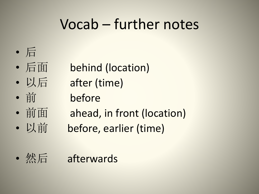## Vocab – further notes



- 
- 
- 
- 后面 behind (location)
- 以后 after (time)
- 前 before
- 前面 ahead, in front (location)
- 
- 以前 before, earlier (time)
- 然后 afterwards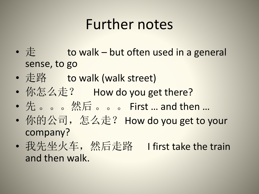## Further notes

- $E$  to walk but often used in a general sense, to go
- 走路 to walk (walk street)
- 你怎么走? How do you get there?
- 先 。。。然后 。。。 First … and then …
- 你的公司, 怎么走? How do you get to your company?
- 我先坐火车, 然后走路 I first take the train and then walk.